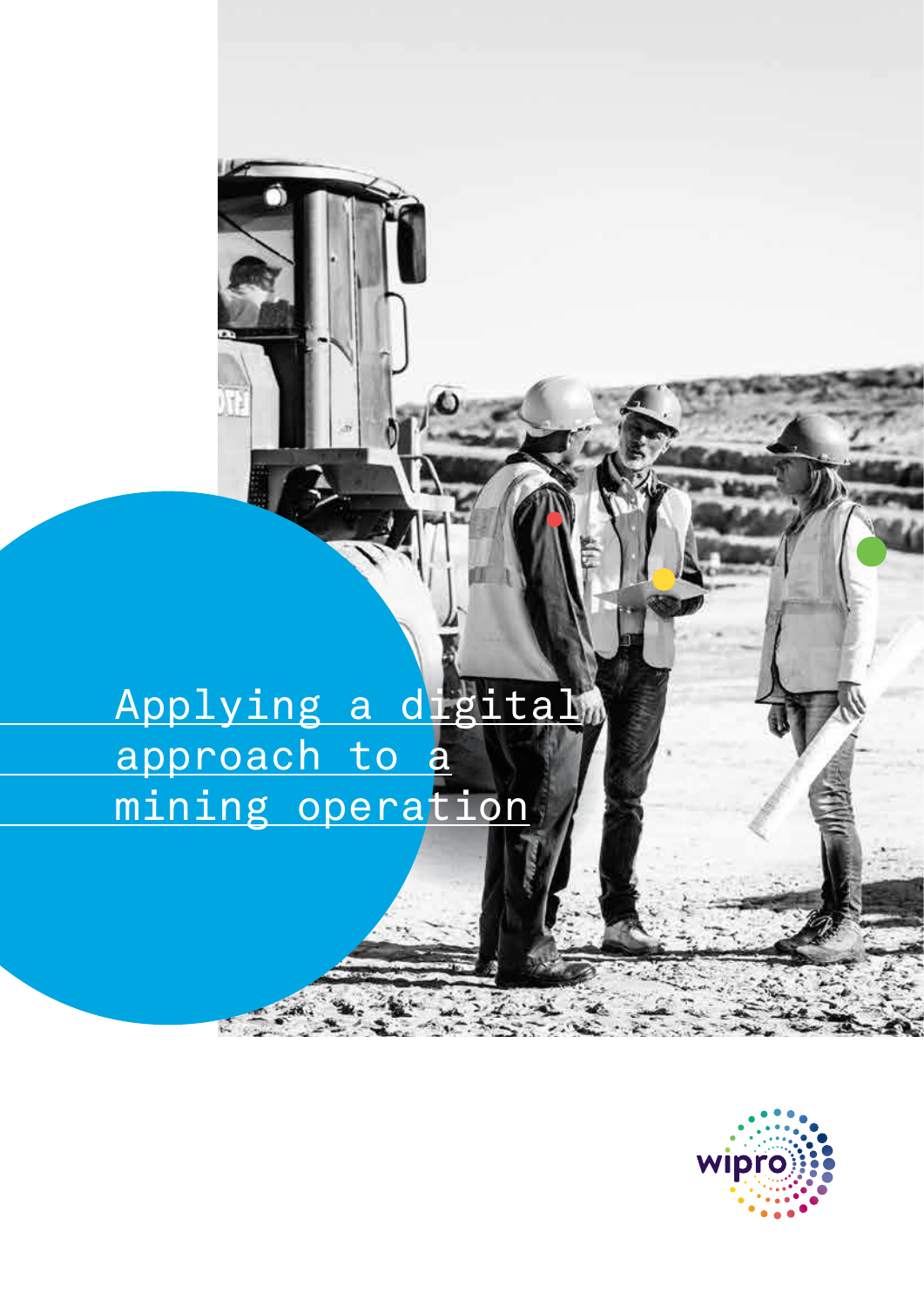Applying a digital approach to a mining operation

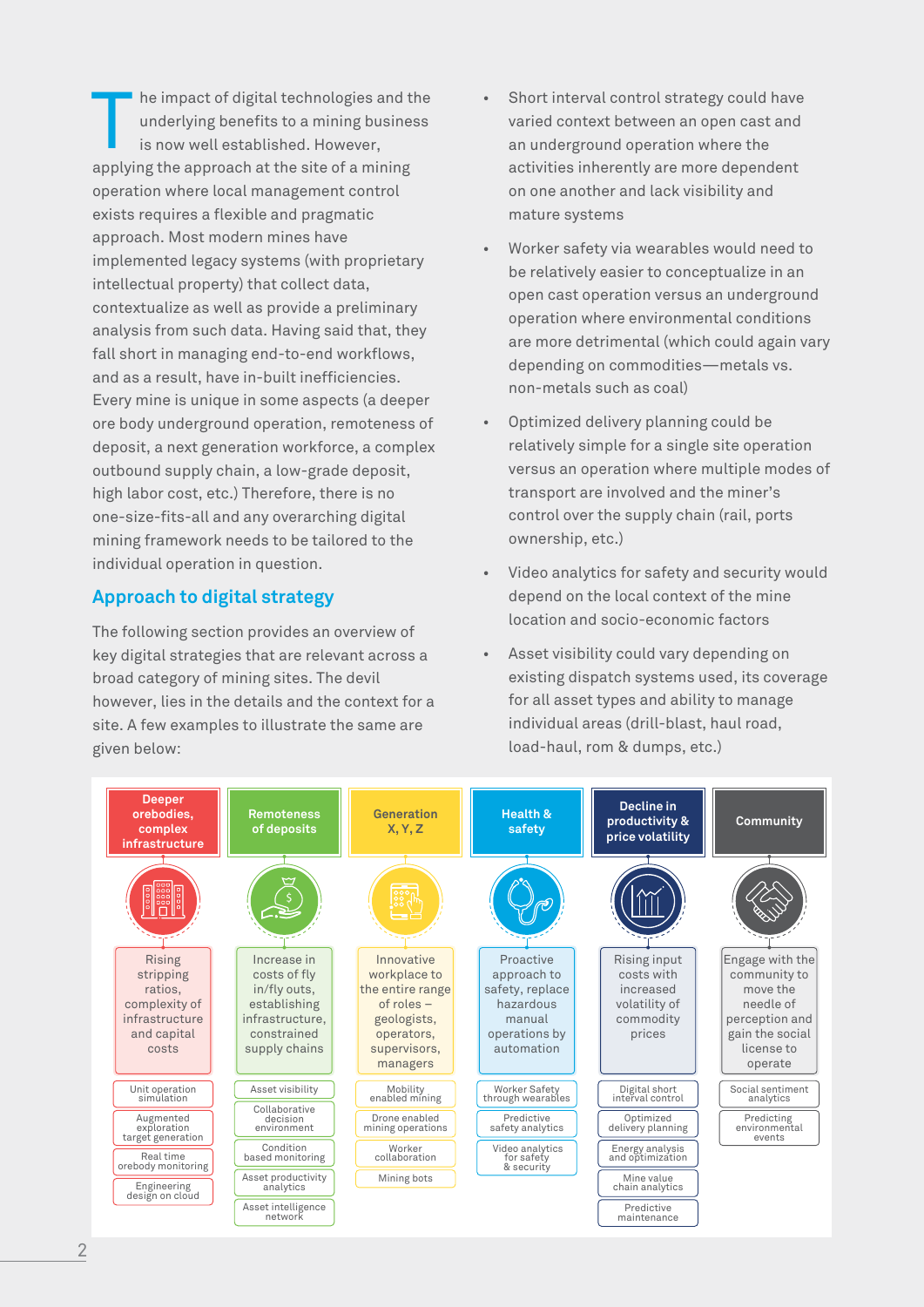he impact of digital technologies and the underlying benefits to a mining business is now well established. However, applying the approach at the site of a mining operation where local management control exists requires a flexible and pragmatic approach. Most modern mines have implemented legacy systems (with proprietary intellectual property) that collect data, contextualize as well as provide a preliminary analysis from such data. Having said that, they fall short in managing end-to-end workflows, and as a result, have in-built inefficiencies. Every mine is unique in some aspects (a deeper ore body underground operation, remoteness of deposit, a next generation workforce, a complex outbound supply chain, a low-grade deposit, high labor cost, etc.) Therefore, there is no one-size-fits-all and any overarching digital mining framework needs to be tailored to the individual operation in question. The impact of digital technologies and the wave interval control strategy could have underlying benefits to a mining business is now well established. However, and the model of the context between an open cast and an under

# **Approach to digital strategy**

The following section provides an overview of key digital strategies that are relevant across a broad category of mining sites. The devil however, lies in the details and the context for a site. A few examples to illustrate the same are given below:

- varied context between an open cast and an underground operation where the activities inherently are more dependent on one another and lack visibility and mature systems
- Worker safety via wearables would need to be relatively easier to conceptualize in an open cast operation versus an underground operation where environmental conditions are more detrimental (which could again vary depending on commodities—metals vs. non-metals such as coal)
- Optimized delivery planning could be relatively simple for a single site operation versus an operation where multiple modes of transport are involved and the miner's control over the supply chain (rail, ports ownership, etc.)
- Video analytics for safety and security would depend on the local context of the mine location and socio-economic factors
- Asset visibility could vary depending on existing dispatch systems used, its coverage for all asset types and ability to manage individual areas (drill-blast, haul road, load-haul, rom & dumps, etc.)

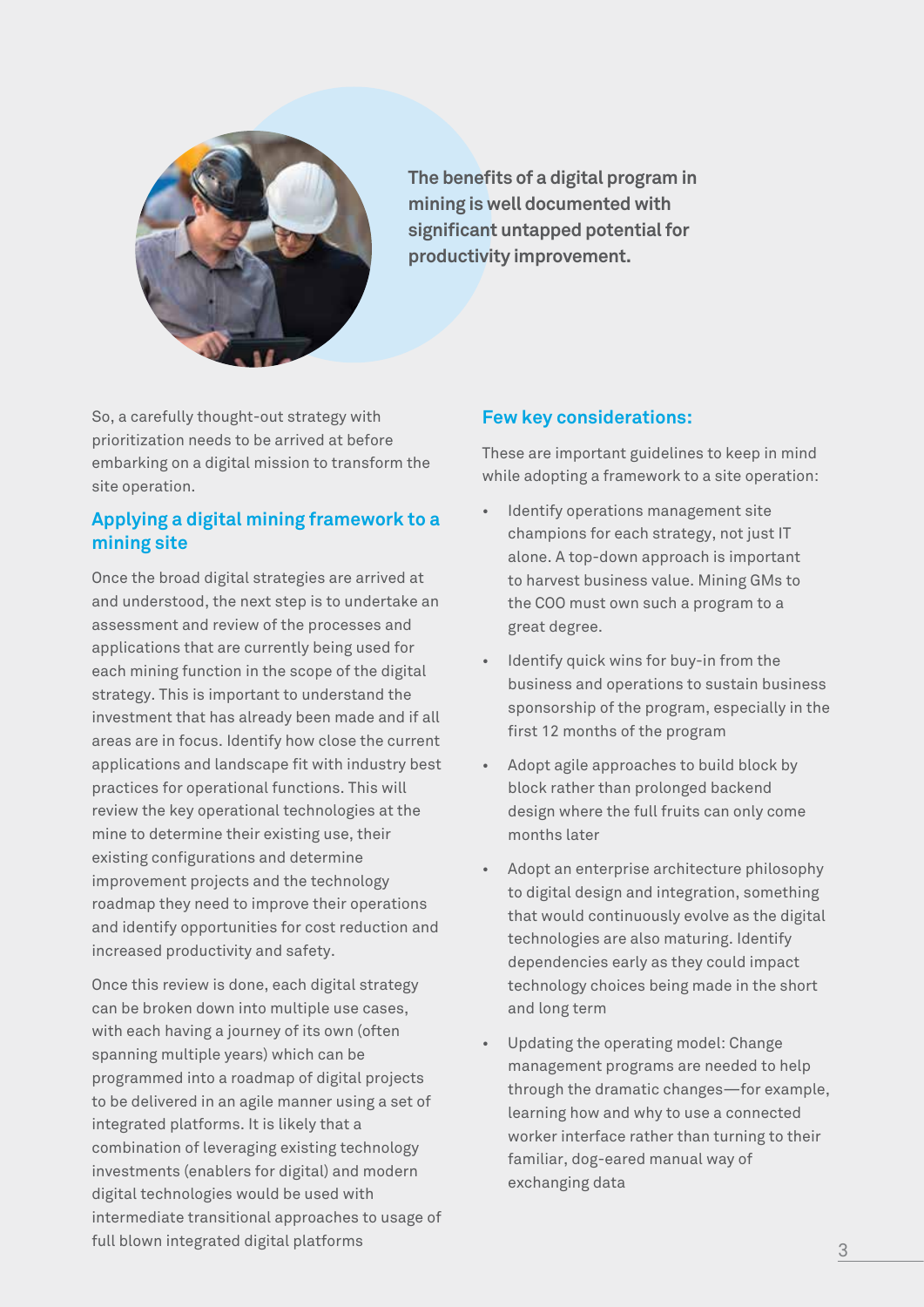

**The benefits of a digital program in mining is well documented with significant untapped potential for productivity improvement.**

So, a carefully thought-out strategy with prioritization needs to be arrived at before embarking on a digital mission to transform the site operation.

## **Applying a digital mining framework to a mining site**

Once the broad digital strategies are arrived at and understood, the next step is to undertake an assessment and review of the processes and applications that are currently being used for each mining function in the scope of the digital strategy. This is important to understand the investment that has already been made and if all areas are in focus. Identify how close the current applications and landscape fit with industry best practices for operational functions. This will review the key operational technologies at the mine to determine their existing use, their existing configurations and determine improvement projects and the technology roadmap they need to improve their operations and identify opportunities for cost reduction and increased productivity and safety.

Once this review is done, each digital strategy can be broken down into multiple use cases, with each having a journey of its own (often spanning multiple years) which can be programmed into a roadmap of digital projects to be delivered in an agile manner using a set of integrated platforms. It is likely that a combination of leveraging existing technology investments (enablers for digital) and modern digital technologies would be used with intermediate transitional approaches to usage of full blown integrated digital platforms

## **Few key considerations:**

These are important guidelines to keep in mind while adopting a framework to a site operation:

- Identify operations management site champions for each strategy, not just IT alone. A top-down approach is important to harvest business value. Mining GMs to the COO must own such a program to a great degree.
- Identify quick wins for buy-in from the business and operations to sustain business sponsorship of the program, especially in the first 12 months of the program
- Adopt agile approaches to build block by block rather than prolonged backend design where the full fruits can only come months later
- Adopt an enterprise architecture philosophy to digital design and integration, something that would continuously evolve as the digital technologies are also maturing. Identify dependencies early as they could impact technology choices being made in the short and long term
- Updating the operating model: Change management programs are needed to help through the dramatic changes—for example, learning how and why to use a connected worker interface rather than turning to their familiar, dog-eared manual way of exchanging data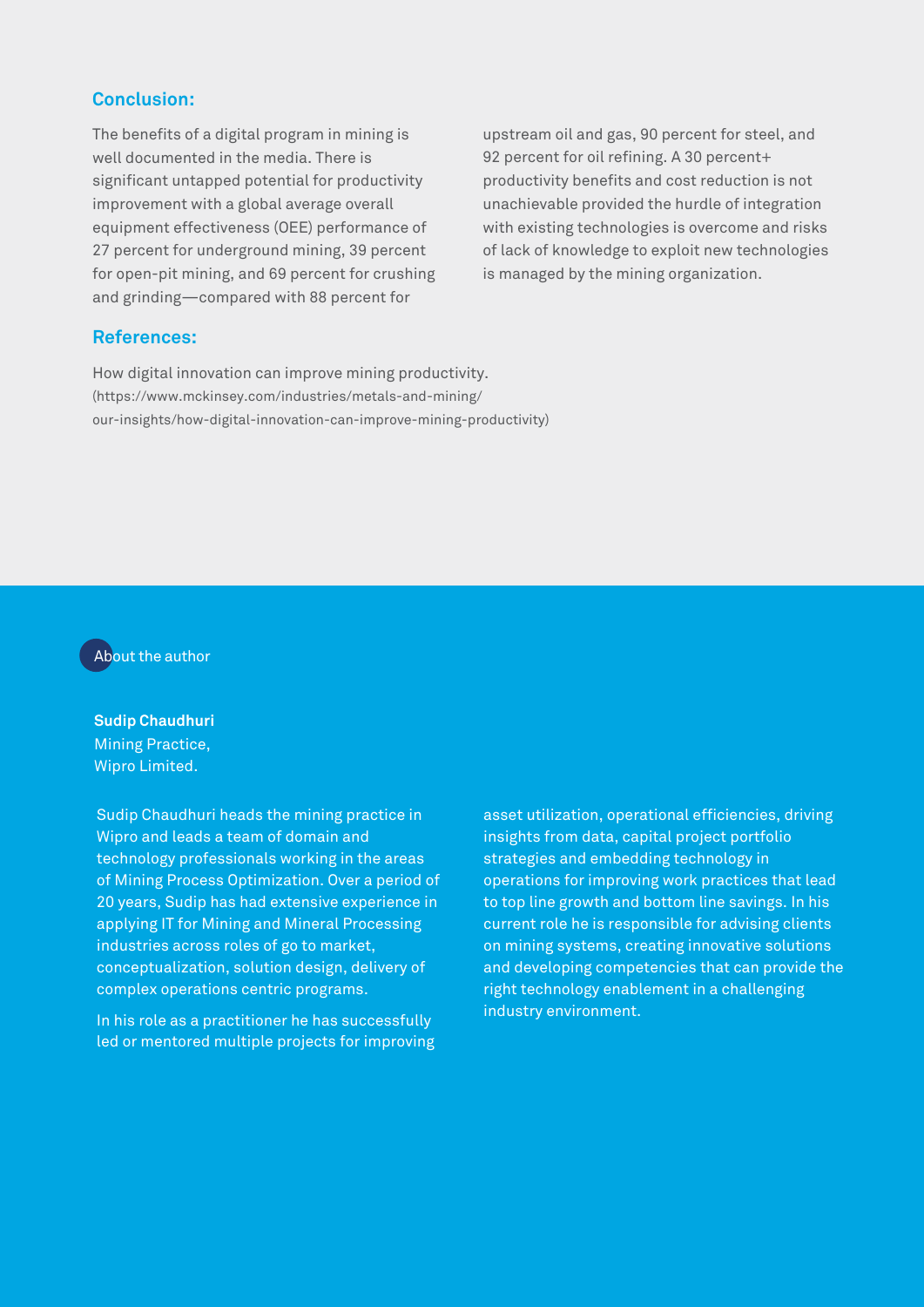### **Conclusion:**

The benefits of a digital program in mining is well documented in the media. There is significant untapped potential for productivity improvement with a global average overall equipment effectiveness (OEE) performance of 27 percent for underground mining, 39 percent for open-pit mining, and 69 percent for crushing and grinding—compared with 88 percent for

upstream oil and gas, 90 percent for steel, and 92 percent for oil refining. A 30 percent+ productivity benefits and cost reduction is not unachievable provided the hurdle of integration with existing technologies is overcome and risks of lack of knowledge to exploit new technologies is managed by the mining organization.

#### **References:**

How digital innovation can improve mining productivity. (https://www.mckinsey.com/industries/metals-and-mining/ our-insights/how-digital-innovation-can-improve-mining-productivity)

### About the author

**Sudip Chaudhuri** Mining Practice, Wipro Limited.

Sudip Chaudhuri heads the mining practice in Wipro and leads a team of domain and technology professionals working in the areas of Mining Process Optimization. Over a period of 20 years, Sudip has had extensive experience in applying IT for Mining and Mineral Processing industries across roles of go to market, conceptualization, solution design, delivery of complex operations centric programs.

In his role as a practitioner he has successfully led or mentored multiple projects for improving asset utilization, operational efficiencies, driving insights from data, capital project portfolio strategies and embedding technology in operations for improving work practices that lead to top line growth and bottom line savings. In his current role he is responsible for advising clients on mining systems, creating innovative solutions and developing competencies that can provide the right technology enablement in a challenging industry environment.